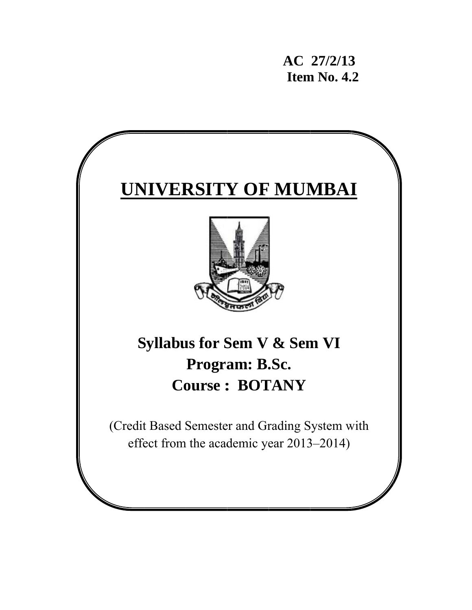**AC 27/2/13 12/13<br>
<b>112 Item No. 4.2** 

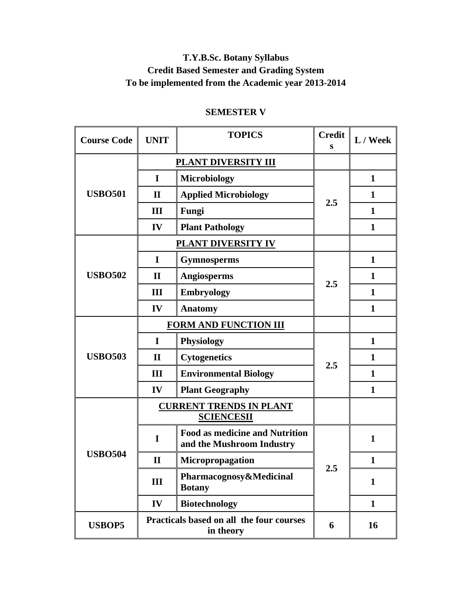## **T.Y.B.Sc. Botany Syllabus Credit Based Semester and Grading System To be implemented from the Academic year 2013-2014**

| <b>Course Code</b> | <b>UNIT</b>  | <b>TOPICS</b>                                                      | <b>Credit</b><br>s | $L /$ Week   |
|--------------------|--------------|--------------------------------------------------------------------|--------------------|--------------|
|                    |              | <b>PLANT DIVERSITY III</b>                                         |                    |              |
|                    | $\mathbf I$  | <b>Microbiology</b>                                                |                    | $\mathbf{1}$ |
| <b>USBO501</b>     | $\mathbf{I}$ | <b>Applied Microbiology</b>                                        | 2.5                | $\mathbf{1}$ |
|                    | III          | Fungi                                                              |                    | $\mathbf{1}$ |
|                    | IV           | <b>Plant Pathology</b>                                             |                    | $\mathbf{1}$ |
|                    |              | <b>PLANT DIVERSITY IV</b>                                          |                    |              |
|                    | $\mathbf I$  | <b>Gymnosperms</b>                                                 |                    | $\mathbf{1}$ |
| <b>USBO502</b>     | $\mathbf{I}$ | Angiosperms                                                        |                    | 1            |
|                    | Ш            | <b>Embryology</b>                                                  | 2.5                | $\mathbf{1}$ |
|                    | IV           | <b>Anatomy</b>                                                     |                    | $\mathbf{1}$ |
|                    |              | <b>FORM AND FUNCTION III</b>                                       |                    |              |
|                    | I            | <b>Physiology</b>                                                  |                    | $\mathbf{1}$ |
| <b>USBO503</b>     | $\mathbf{I}$ | <b>Cytogenetics</b>                                                | 2.5                | $\mathbf{1}$ |
|                    | III          | <b>Environmental Biology</b>                                       |                    | $\mathbf{1}$ |
|                    | IV           | <b>Plant Geography</b>                                             |                    | $\mathbf{1}$ |
|                    |              | <b>CURRENT TRENDS IN PLANT</b><br><b>SCIENCESII</b>                |                    |              |
|                    | I            | <b>Food as medicine and Nutrition</b><br>and the Mushroom Industry |                    | $\mathbf{1}$ |
| <b>USBO504</b>     | $\mathbf{I}$ | Micropropagation                                                   |                    | $\mathbf{1}$ |
|                    | III          | Pharmacognosy&Medicinal<br><b>Botany</b>                           | 2.5                | $\mathbf{1}$ |
|                    | IV           | <b>Biotechnology</b>                                               |                    | $\mathbf{1}$ |
| <b>USBOP5</b>      |              | Practicals based on all the four courses<br>in theory              | 6                  | 16           |

## **SEMESTER V**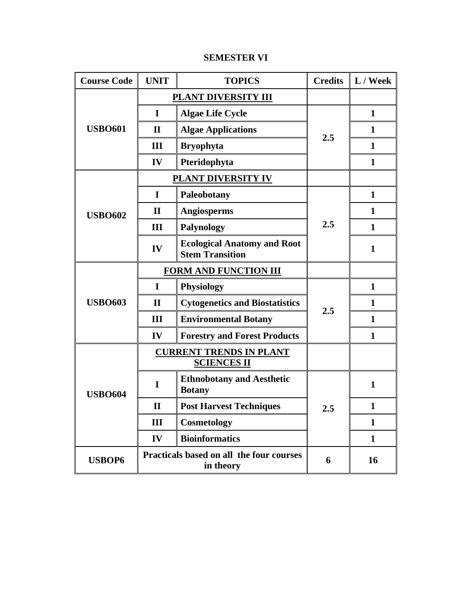| <b>Course Code</b> | <b>UNIT</b>  | <b>TOPICS</b>                                                | <b>Credits</b> | L / Week     |
|--------------------|--------------|--------------------------------------------------------------|----------------|--------------|
|                    |              | PLANT DIVERSITY III                                          |                |              |
|                    | $\mathbf I$  | <b>Algae Life Cycle</b>                                      |                | $\mathbf{1}$ |
| <b>USBO601</b>     | $\mathbf{I}$ | <b>Algae Applications</b>                                    |                | 1            |
|                    | III          | <b>Bryophyta</b>                                             | 2.5            | $\mathbf{1}$ |
|                    | IV           | Pteridophyta                                                 |                | $\mathbf{1}$ |
|                    |              | PLANT DIVERSITY IV                                           |                |              |
|                    | $\mathbf I$  | Paleobotany                                                  |                | $\mathbf{1}$ |
| <b>USBO602</b>     | $\mathbf{I}$ | <b>Angiosperms</b>                                           |                | 1            |
|                    | Ш            | <b>Palynology</b>                                            | 2.5            | $\mathbf{1}$ |
|                    | IV           | <b>Ecological Anatomy and Root</b><br><b>Stem Transition</b> |                | 1            |
|                    |              | <b>FORM AND FUNCTION III</b>                                 |                |              |
|                    | I            | <b>Physiology</b>                                            |                | $\mathbf{1}$ |
| <b>USBO603</b>     | $\mathbf{I}$ | <b>Cytogenetics and Biostatistics</b>                        | 2.5            | $\mathbf{1}$ |
|                    | III          | <b>Environmental Botany</b>                                  |                | $\mathbf{1}$ |
|                    | IV           | <b>Forestry and Forest Products</b>                          |                | $\mathbf{1}$ |
|                    |              | <b>CURRENT TRENDS IN PLANT</b><br><b>SCIENCES II</b>         |                |              |
| <b>USBO604</b>     | I            | <b>Ethnobotany and Aesthetic</b><br><b>Botany</b>            |                | $\mathbf{1}$ |
|                    | $\mathbf{I}$ | <b>Post Harvest Techniques</b>                               | 2.5            | 1            |
|                    | III          | <b>Cosmetology</b>                                           |                | 1            |
|                    | IV           | <b>Bioinformatics</b>                                        |                | 1            |
| <b>USBOP6</b>      |              | Practicals based on all the four courses<br>in theory        | 6              | 16           |

#### **SEMESTER VI**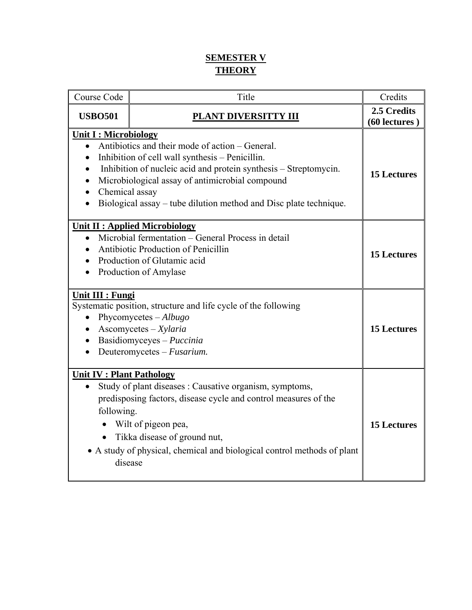## **SEMESTER V THEORY**

| Course Code                                                | Title                                                                                                                                                                                                                                                                                          | Credits                      |
|------------------------------------------------------------|------------------------------------------------------------------------------------------------------------------------------------------------------------------------------------------------------------------------------------------------------------------------------------------------|------------------------------|
| <b>USBO501</b>                                             | <b>PLANT DIVERSITTY III</b>                                                                                                                                                                                                                                                                    | 2.5 Credits<br>(60 lectures) |
| <b>Unit I: Microbiology</b><br>Chemical assay              | Antibiotics and their mode of action – General.<br>Inhibition of cell wall synthesis - Penicillin.<br>Inhibition of nucleic acid and protein synthesis – Streptomycin.<br>Microbiological assay of antimicrobial compound<br>Biological assay – tube dilution method and Disc plate technique. | <b>15 Lectures</b>           |
| $\bullet$                                                  | <b>Unit II : Applied Microbiology</b><br>Microbial fermentation – General Process in detail<br>Antibiotic Production of Penicillin<br>Production of Glutamic acid<br>Production of Amylase                                                                                                     | <b>15 Lectures</b>           |
| <b>Unit III : Fungi</b><br>$\bullet$                       | Systematic position, structure and life cycle of the following<br>Phycomycetes $-Albugo$<br>$As$ comycetes – $X$ ylaria<br>Basidiomyceyes - Puccinia<br>Deuteromycetes - Fusarium.                                                                                                             | <b>15 Lectures</b>           |
| <b>Unit IV: Plant Pathology</b><br>following.<br>$\bullet$ | Study of plant diseases : Causative organism, symptoms,<br>predisposing factors, disease cycle and control measures of the<br>Wilt of pigeon pea,<br>Tikka disease of ground nut,<br>• A study of physical, chemical and biological control methods of plant<br>disease                        | <b>15 Lectures</b>           |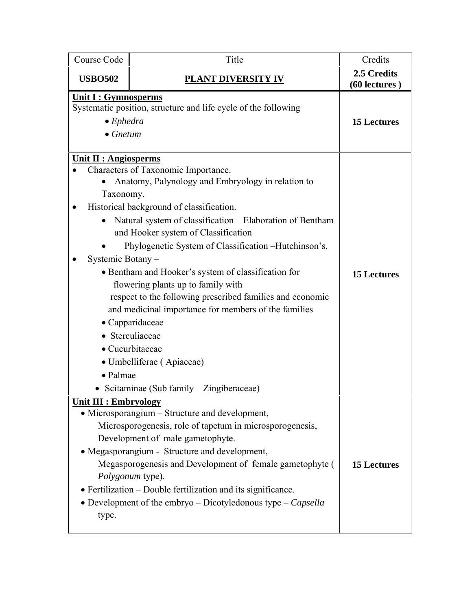| Course Code                                                                                                                                   | Title                                                                                                                                                                                                                                                                                                                                                                                                                                                                                                                                                                                                                                                  | Credits                      |
|-----------------------------------------------------------------------------------------------------------------------------------------------|--------------------------------------------------------------------------------------------------------------------------------------------------------------------------------------------------------------------------------------------------------------------------------------------------------------------------------------------------------------------------------------------------------------------------------------------------------------------------------------------------------------------------------------------------------------------------------------------------------------------------------------------------------|------------------------------|
| <b>USBO502</b>                                                                                                                                | PLANT D <u>IVERSITY IV</u>                                                                                                                                                                                                                                                                                                                                                                                                                                                                                                                                                                                                                             | 2.5 Credits<br>(60 lectures) |
| <u><b>Unit I : Gymnosperms</b></u><br>Systematic position, structure and life cycle of the following<br>$\bullet$ Ephedra<br>$\bullet$ Gnetum |                                                                                                                                                                                                                                                                                                                                                                                                                                                                                                                                                                                                                                                        | <b>15 Lectures</b>           |
| <b>Unit II : Angiosperms</b><br>Taxonomy.<br>$\bullet$<br>Systemic Botany-<br>• Palmae                                                        | Characters of Taxonomic Importance.<br>Anatomy, Palynology and Embryology in relation to<br>Historical background of classification.<br>Natural system of classification – Elaboration of Bentham<br>and Hooker system of Classification<br>Phylogenetic System of Classification - Hutchinson's.<br>• Bentham and Hooker's system of classification for<br>flowering plants up to family with<br>respect to the following prescribed families and economic<br>and medicinal importance for members of the families<br>• Capparidaceae<br>• Sterculiaceae<br>• Cucurbitaceae<br>• Umbelliferae (Apiaceae)<br>• Scitaminae (Sub family – Zingiberaceae) | <b>15 Lectures</b>           |
| <b>Unit III : Embryology</b><br>type.                                                                                                         | • Microsporangium – Structure and development,<br>Microsporogenesis, role of tapetum in microsporogenesis,<br>Development of male gametophyte.<br>• Megasporangium - Structure and development,<br>Megasporogenesis and Development of female gametophyte (<br>Polygonum type).<br>• Fertilization – Double fertilization and its significance.<br>• Development of the embryo $-$ Dicotyledonous type $-$ Capsella                                                                                                                                                                                                                                    | <b>15 Lectures</b>           |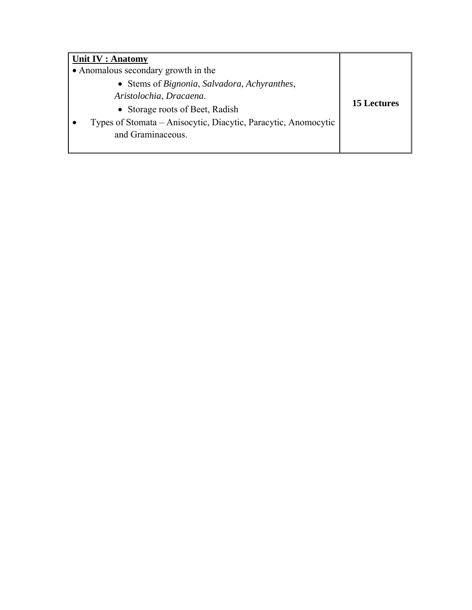| Unit IV : Anatomy                                              |                    |
|----------------------------------------------------------------|--------------------|
| • Anomalous secondary growth in the                            |                    |
| • Stems of Bignonia, Salvadora, Achyranthes,                   |                    |
| Aristolochia, Dracaena.                                        |                    |
| • Storage roots of Beet, Radish                                | <b>15 Lectures</b> |
| Types of Stomata - Anisocytic, Diacytic, Paracytic, Anomocytic |                    |
| and Graminaceous.                                              |                    |
|                                                                |                    |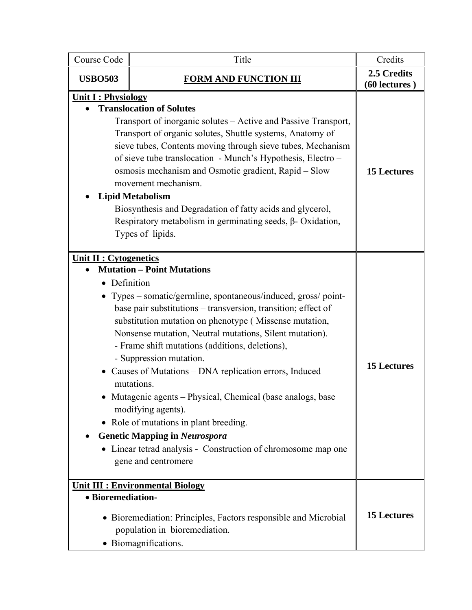| Course Code                   | Title                                                                                                                                                                                                                                                                                                                                                                                                                                                                                                                                                                                                                                                                                                                  | Credits                      |
|-------------------------------|------------------------------------------------------------------------------------------------------------------------------------------------------------------------------------------------------------------------------------------------------------------------------------------------------------------------------------------------------------------------------------------------------------------------------------------------------------------------------------------------------------------------------------------------------------------------------------------------------------------------------------------------------------------------------------------------------------------------|------------------------------|
| <b>USBO503</b>                | <b>FORM AND FUNCTION III</b>                                                                                                                                                                                                                                                                                                                                                                                                                                                                                                                                                                                                                                                                                           | 2.5 Credits<br>(60 lectures) |
| <b>Unit I: Physiology</b>     | <b>Translocation of Solutes</b><br>Transport of inorganic solutes – Active and Passive Transport,<br>Transport of organic solutes, Shuttle systems, Anatomy of<br>sieve tubes, Contents moving through sieve tubes, Mechanism<br>of sieve tube translocation - Munch's Hypothesis, Electro -<br>osmosis mechanism and Osmotic gradient, Rapid - Slow<br>movement mechanism.<br><b>Lipid Metabolism</b><br>Biosynthesis and Degradation of fatty acids and glycerol,<br>Respiratory metabolism in germinating seeds, $\beta$ - Oxidation,<br>Types of lipids.                                                                                                                                                           | <b>15 Lectures</b>           |
| <b>Unit II : Cytogenetics</b> | <b>Mutation - Point Mutations</b><br>Definition<br>Types – somatic/germline, spontaneous/induced, gross/point-<br>base pair substitutions - transversion, transition; effect of<br>substitution mutation on phenotype (Missense mutation,<br>Nonsense mutation, Neutral mutations, Silent mutation).<br>- Frame shift mutations (additions, deletions),<br>- Suppression mutation.<br>• Causes of Mutations - DNA replication errors, Induced<br>mutations.<br>Mutagenic agents - Physical, Chemical (base analogs, base<br>modifying agents).<br>• Role of mutations in plant breeding.<br><b>Genetic Mapping in Neurospora</b><br>Linear tetrad analysis - Construction of chromosome map one<br>gene and centromere | <b>15 Lectures</b>           |
| · Bioremediation-             | <b>Unit III : Environmental Biology</b><br>• Bioremediation: Principles, Factors responsible and Microbial<br>population in bioremediation.<br>· Biomagnifications.                                                                                                                                                                                                                                                                                                                                                                                                                                                                                                                                                    | <b>15 Lectures</b>           |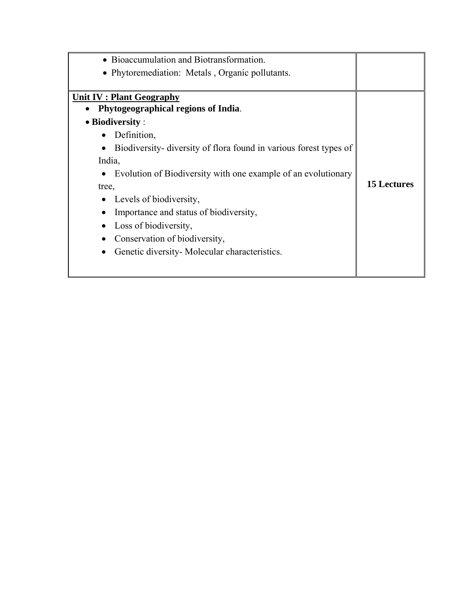| • Bioaccumulation and Biotransformation.                                   |                    |
|----------------------------------------------------------------------------|--------------------|
| • Phytoremediation: Metals, Organic pollutants.                            |                    |
|                                                                            |                    |
| <b>Unit IV: Plant Geography</b>                                            |                    |
| Phytogeographical regions of India.                                        |                    |
| $\bullet$ Biodiversity :                                                   |                    |
| Definition,                                                                |                    |
| Biodiversity-diversity of flora found in various forest types of           |                    |
| India,                                                                     |                    |
| Evolution of Biodiversity with one example of an evolutionary<br>$\bullet$ |                    |
| tree,                                                                      | <b>15 Lectures</b> |
| Levels of biodiversity,                                                    |                    |
| Importance and status of biodiversity,                                     |                    |
| Loss of biodiversity,                                                      |                    |
| Conservation of biodiversity,                                              |                    |
| Genetic diversity Molecular characteristics.                               |                    |
|                                                                            |                    |
|                                                                            |                    |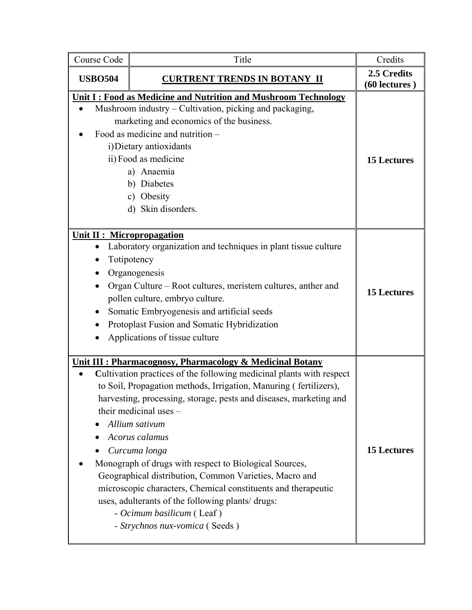| Course Code                                    | Title                                                                                                                                                                                                                                                                                                                                                                                                                                                                                                                                                                                                                                                               | Credits                      |
|------------------------------------------------|---------------------------------------------------------------------------------------------------------------------------------------------------------------------------------------------------------------------------------------------------------------------------------------------------------------------------------------------------------------------------------------------------------------------------------------------------------------------------------------------------------------------------------------------------------------------------------------------------------------------------------------------------------------------|------------------------------|
| <b>USBO504</b>                                 | <b>CURTRENT TRENDS IN BOTANY II</b>                                                                                                                                                                                                                                                                                                                                                                                                                                                                                                                                                                                                                                 | 2.5 Credits<br>(60 lectures) |
|                                                | Unit I: Food as Medicine and Nutrition and Mushroom Technology<br>Mushroom industry – Cultivation, picking and packaging,<br>marketing and economics of the business.<br>Food as medicine and nutrition –<br>i) Dietary antioxidants<br>ii) Food as medicine<br>a) Anaemia<br>b) Diabetes<br>c) Obesity<br>d) Skin disorders.                                                                                                                                                                                                                                                                                                                                       | <b>15 Lectures</b>           |
| <b>Unit II : Micropropagation</b><br>$\bullet$ | Laboratory organization and techniques in plant tissue culture<br>Totipotency<br>Organogenesis<br>Organ Culture - Root cultures, meristem cultures, anther and<br>pollen culture, embryo culture.<br>Somatic Embryogenesis and artificial seeds<br>Protoplast Fusion and Somatic Hybridization<br>Applications of tissue culture                                                                                                                                                                                                                                                                                                                                    | <b>15 Lectures</b>           |
|                                                | Unit III : Pharmacognosy, Pharmacology & Medicinal Botany<br>Cultivation practices of the following medicinal plants with respect<br>to Soil, Propagation methods, Irrigation, Manuring (fertilizers),<br>harvesting, processing, storage, pests and diseases, marketing and<br>their medicinal uses -<br>Allium sativum<br>Acorus calamus<br>Curcuma longa<br>Monograph of drugs with respect to Biological Sources,<br>Geographical distribution, Common Varieties, Macro and<br>microscopic characters, Chemical constituents and therapeutic<br>uses, adulterants of the following plants/drugs:<br>- Ocimum basilicum (Leaf)<br>- Strychnos nux-vomica (Seeds) | <b>15 Lectures</b>           |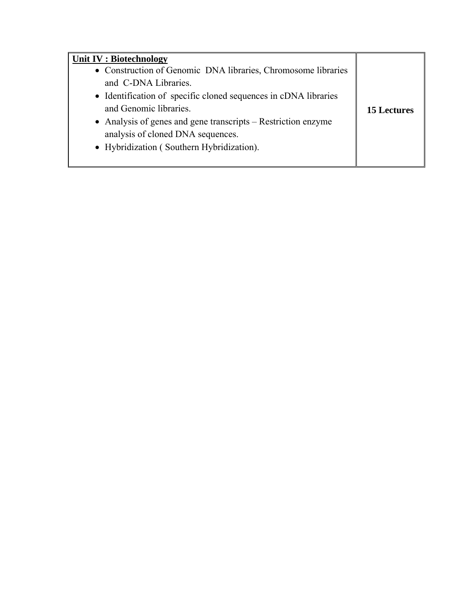| Unit IV : Biotechnology                                         |                    |
|-----------------------------------------------------------------|--------------------|
| • Construction of Genomic DNA libraries, Chromosome libraries   |                    |
| and C-DNA Libraries.                                            |                    |
| • Identification of specific cloned sequences in cDNA libraries |                    |
| and Genomic libraries.                                          | <b>15 Lectures</b> |
| • Analysis of genes and gene transcripts – Restriction enzyme   |                    |
| analysis of cloned DNA sequences.                               |                    |
| • Hybridization (Southern Hybridization).                       |                    |
|                                                                 |                    |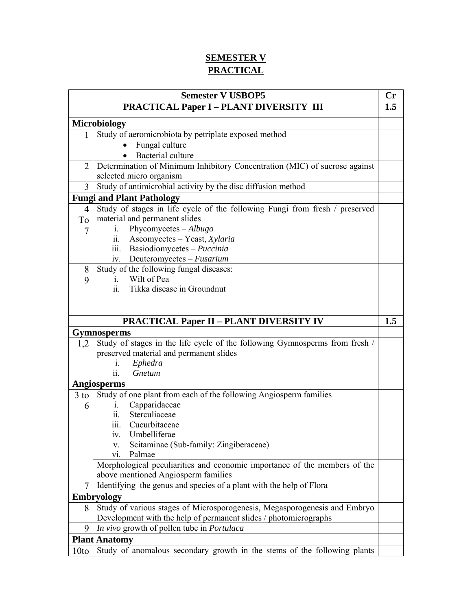## **SEMESTER V PRACTICAL**

| <b>Semester V USBOP5</b> |                                                                             |     |
|--------------------------|-----------------------------------------------------------------------------|-----|
|                          | <b>PRACTICAL Paper I - PLANT DIVERSITY III</b>                              | 1.5 |
|                          | <b>Microbiology</b>                                                         |     |
| 1                        | Study of aeromicrobiota by petriplate exposed method                        |     |
|                          | Fungal culture                                                              |     |
|                          | Bacterial culture                                                           |     |
| $\overline{2}$           | Determination of Minimum Inhibitory Concentration (MIC) of sucrose against  |     |
|                          | selected micro organism                                                     |     |
| 3                        | Study of antimicrobial activity by the disc diffusion method                |     |
|                          | <b>Fungi and Plant Pathology</b>                                            |     |
| $\overline{4}$           | Study of stages in life cycle of the following Fungi from fresh / preserved |     |
| To                       | material and permanent slides                                               |     |
| 7                        | Phycomycetes - Albugo<br>$\mathbf{i}$ .                                     |     |
|                          | Ascomycetes - Yeast, Xylaria<br>11.                                         |     |
|                          | iii.<br>Basiodiomycetes - Puccinia                                          |     |
|                          | Deuteromycetes - Fusarium<br>1V.                                            |     |
| 8                        | Study of the following fungal diseases:                                     |     |
| 9                        | Wilt of Pea<br>1.                                                           |     |
|                          | Tikka disease in Groundnut<br>11.                                           |     |
|                          |                                                                             |     |
|                          |                                                                             |     |
|                          | <b>PRACTICAL Paper II - PLANT DIVERSITY IV</b>                              | 1.5 |
|                          | <b>Gymnosperms</b>                                                          |     |
| 1,2                      | Study of stages in the life cycle of the following Gymnosperms from fresh / |     |
|                          | preserved material and permanent slides                                     |     |
|                          | Ephedra<br>1.                                                               |     |
|                          | Gnetum<br>11.                                                               |     |
|                          | <b>Angiosperms</b>                                                          |     |
| $3$ to                   | Study of one plant from each of the following Angiosperm families           |     |
| 6                        | Capparidaceae<br>1.                                                         |     |
|                          | Sterculiaceae<br>11.                                                        |     |
|                          | Cucurbitaceae<br>111.                                                       |     |
|                          | iv. Umbelliferae                                                            |     |
|                          | Scitaminae (Sub-family: Zingiberaceae)<br>V.                                |     |
|                          | Palmae<br>V1.                                                               |     |
|                          | Morphological peculiarities and economic importance of the members of the   |     |
|                          | above mentioned Angiosperm families                                         |     |
| $\tau$                   | Identifying the genus and species of a plant with the help of Flora         |     |
|                          | <b>Embryology</b>                                                           |     |
| 8                        | Study of various stages of Microsporogenesis, Megasporogenesis and Embryo   |     |
|                          | Development with the help of permanent slides / photomicrographs            |     |
| 9                        | In vivo growth of pollen tube in Portulaca                                  |     |
|                          | <b>Plant Anatomy</b>                                                        |     |
| 10to                     | Study of anomalous secondary growth in the stems of the following plants    |     |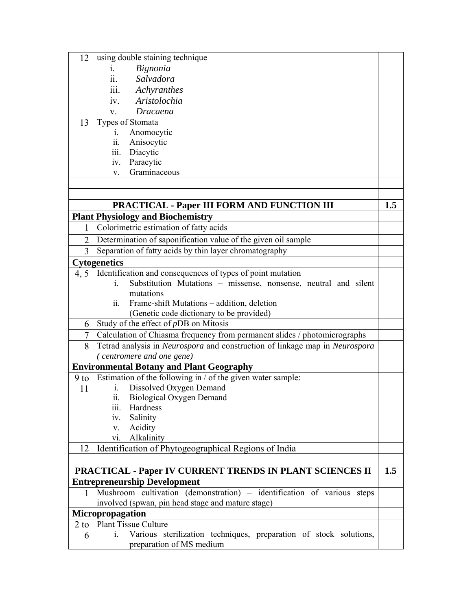| 12             | using double staining technique                                                   |     |
|----------------|-----------------------------------------------------------------------------------|-----|
|                | Bignonia<br>Ĺ.                                                                    |     |
|                | ii.<br>Salvadora                                                                  |     |
|                | $\dddot{\mathbf{m}}$ .<br>Achyranthes                                             |     |
|                | Aristolochia<br>iv.                                                               |     |
|                | Dracaena<br>$V_{\star}$                                                           |     |
| 13             | Types of Stomata                                                                  |     |
|                | Anomocytic<br>1.                                                                  |     |
|                | Anisocytic<br>11.                                                                 |     |
|                | Diacytic<br>$\overline{\mathbf{iii}}$ .                                           |     |
|                | Paracytic<br>iv.                                                                  |     |
|                | Graminaceous<br>V.                                                                |     |
|                |                                                                                   |     |
|                |                                                                                   |     |
|                | <b>PRACTICAL - Paper III FORM AND FUNCTION III</b>                                | 1.5 |
|                | <b>Plant Physiology and Biochemistry</b>                                          |     |
| 1              | Colorimetric estimation of fatty acids                                            |     |
| $\overline{2}$ | Determination of saponification value of the given oil sample                     |     |
| 3              | Separation of fatty acids by thin layer chromatography                            |     |
|                | <b>Cytogenetics</b>                                                               |     |
| 4, 5           | Identification and consequences of types of point mutation                        |     |
|                | Substitution Mutations – missense, nonsense, neutral and silent<br>$\mathbf{1}$ . |     |
|                | mutations                                                                         |     |
|                | ii.<br>Frame-shift Mutations – addition, deletion                                 |     |
|                | (Genetic code dictionary to be provided)                                          |     |
| 6              | Study of the effect of pDB on Mitosis                                             |     |
| 7              | Calculation of Chiasma frequency from permanent slides / photomicrographs         |     |
| 8              | Tetrad analysis in Neurospora and construction of linkage map in Neurospora       |     |
|                | (centromere and one gene)                                                         |     |
|                | <b>Environmental Botany and Plant Geography</b>                                   |     |
| $9$ to         | Estimation of the following in / of the given water sample:                       |     |
| 11             | Dissolved Oxygen Demand<br>$\mathbf{1}$ .                                         |     |
|                | ii. Biological Oxygen Demand                                                      |     |
|                | Hardness<br>111.                                                                  |     |
|                | Salinity<br>iv.                                                                   |     |
|                | Acidity<br>V.                                                                     |     |
|                | Alkalinity<br>V1.                                                                 |     |
| 12             | Identification of Phytogeographical Regions of India                              |     |
|                |                                                                                   |     |
|                | <b>PRACTICAL - Paper IV CURRENT TRENDS IN PLANT SCIENCES II</b>                   | 1.5 |
|                | <b>Entrepreneurship Development</b>                                               |     |
| 1              | Mushroom cultivation (demonstration) – identification of various steps            |     |
|                | involved (spwan, pin head stage and mature stage)                                 |     |
|                | Micropropagation                                                                  |     |
| $2$ to         | <b>Plant Tissue Culture</b>                                                       |     |
| 6              | Various sterilization techniques, preparation of stock solutions,<br>1.           |     |
|                | preparation of MS medium                                                          |     |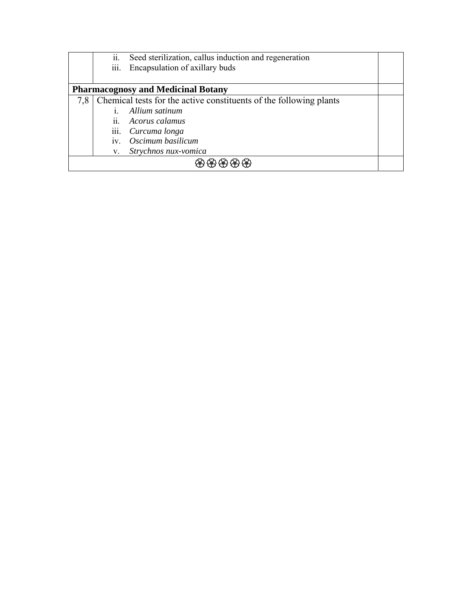|                                           | ii.<br>Seed sterilization, callus induction and regeneration<br>iii.<br>Encapsulation of axillary buds |  |  |  |
|-------------------------------------------|--------------------------------------------------------------------------------------------------------|--|--|--|
| <b>Pharmacognosy and Medicinal Botany</b> |                                                                                                        |  |  |  |
| 7.8                                       | Chemical tests for the active constituents of the following plants                                     |  |  |  |
|                                           | Allium satinum                                                                                         |  |  |  |
|                                           | ii. Acorus calamus                                                                                     |  |  |  |
|                                           | iii. Curcuma longa                                                                                     |  |  |  |
|                                           | Oscimum basilicum<br>iv.                                                                               |  |  |  |
|                                           | Strychnos nux-vomica<br>V.                                                                             |  |  |  |
|                                           |                                                                                                        |  |  |  |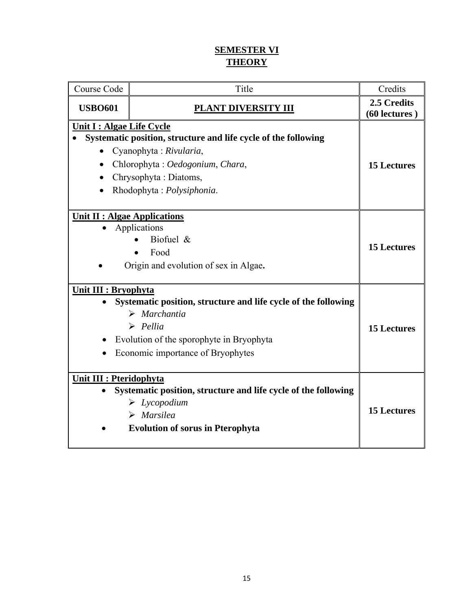### **SEMESTER VI THEORY**

| Course Code                                         | Title                                                                                                                                                                                                     | Credits                      |
|-----------------------------------------------------|-----------------------------------------------------------------------------------------------------------------------------------------------------------------------------------------------------------|------------------------------|
| <b>USBO601</b>                                      | PLANT DIVERSITY III                                                                                                                                                                                       | 2.5 Credits<br>(60 lectures) |
| Unit I : Algae Life Cycle<br>$\bullet$<br>$\bullet$ | Systematic position, structure and life cycle of the following<br>Cyanophyta: Rivularia,<br>Chlorophyta: Oedogonium, Chara,<br>Chrysophyta: Diatoms,<br>Rhodophyta: Polysiphonia.                         | <b>15 Lectures</b>           |
| <b>Unit II : Algae Applications</b>                 | Applications<br>Biofuel $\&$<br>Food<br>Origin and evolution of sex in Algae.                                                                                                                             | <b>15 Lectures</b>           |
| Unit III : Bryophyta                                | Systematic position, structure and life cycle of the following<br>$\triangleright$ Marchantia<br>$\triangleright$ Pellia<br>Evolution of the sporophyte in Bryophyta<br>Economic importance of Bryophytes | <b>15 Lectures</b>           |
| <b>Unit III : Pteridophyta</b>                      | Systematic position, structure and life cycle of the following<br>$\triangleright$ Lycopodium<br>$\triangleright$ Marsilea<br><b>Evolution of sorus in Pterophyta</b>                                     | <b>15 Lectures</b>           |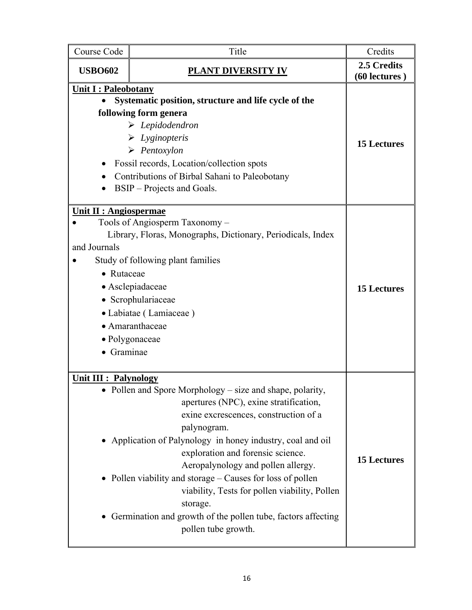| Course Code                                                             | Title                                                                                                                                                                                                                                                                                                                                                                                                                                                                                                             | Credits                      |
|-------------------------------------------------------------------------|-------------------------------------------------------------------------------------------------------------------------------------------------------------------------------------------------------------------------------------------------------------------------------------------------------------------------------------------------------------------------------------------------------------------------------------------------------------------------------------------------------------------|------------------------------|
| <b>USBO602</b>                                                          | <b>PLANT DIVERSITY IV</b>                                                                                                                                                                                                                                                                                                                                                                                                                                                                                         | 2.5 Credits<br>(60 lectures) |
| <b>Unit I: Paleobotany</b>                                              | Systematic position, structure and life cycle of the<br>following form genera<br>$\triangleright$ Lepidodendron<br>$\triangleright$ Lyginopteris<br>$\triangleright$ Pentoxylon<br>Fossil records, Location/collection spots<br>Contributions of Birbal Sahani to Paleobotany<br>BSIP – Projects and Goals.                                                                                                                                                                                                       | <b>15 Lectures</b>           |
| <b>Unit II : Angiospermae</b><br>and Journals<br>• Rutaceae<br>Graminae | Tools of Angiosperm Taxonomy -<br>Library, Floras, Monographs, Dictionary, Periodicals, Index<br>Study of following plant families<br>• Asclepiadaceae<br>• Scrophulariaceae<br>• Labiatae (Lamiaceae)<br>• Amaranthaceae<br>• Polygonaceae                                                                                                                                                                                                                                                                       | <b>15 Lectures</b>           |
| <b>Unit III : Palynology</b>                                            | Pollen and Spore Morphology – size and shape, polarity,<br>apertures (NPC), exine stratification,<br>exine excrescences, construction of a<br>palynogram.<br>Application of Palynology in honey industry, coal and oil<br>exploration and forensic science.<br>Aeropalynology and pollen allergy.<br>Pollen viability and storage – Causes for loss of pollen<br>viability, Tests for pollen viability, Pollen<br>storage.<br>Germination and growth of the pollen tube, factors affecting<br>pollen tube growth. | <b>15 Lectures</b>           |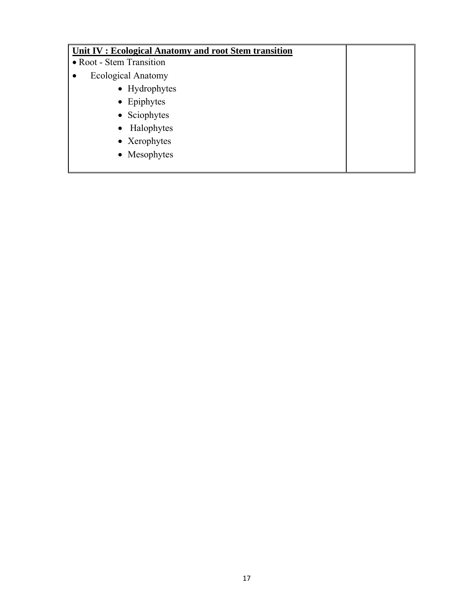| Unit IV : Ecological Anatomy and root Stem transition |  |
|-------------------------------------------------------|--|
| • Root - Stem Transition                              |  |
| <b>Ecological Anatomy</b>                             |  |
| • Hydrophytes                                         |  |
| • Epiphytes                                           |  |
| • Sciophytes                                          |  |
| • Halophytes                                          |  |
| • Xerophytes                                          |  |
| • Mesophytes                                          |  |
|                                                       |  |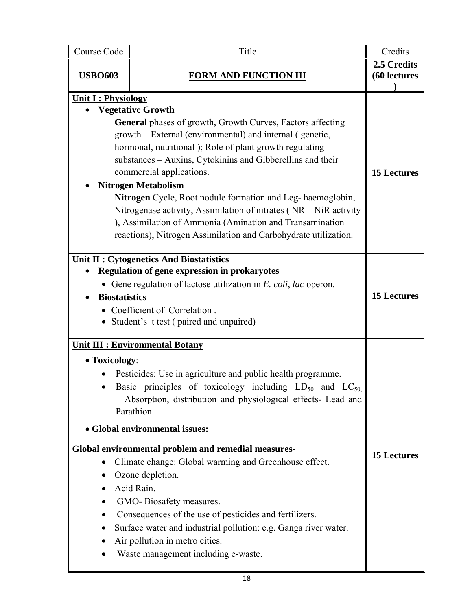| Course Code                | Title                                                                                                                                                                                                                                                                                                                                                                                                                                                                                                                                                                                                                                                                        | Credits                     |
|----------------------------|------------------------------------------------------------------------------------------------------------------------------------------------------------------------------------------------------------------------------------------------------------------------------------------------------------------------------------------------------------------------------------------------------------------------------------------------------------------------------------------------------------------------------------------------------------------------------------------------------------------------------------------------------------------------------|-----------------------------|
| <b>USBO603</b>             | <b>FORM AND FUNCTION III</b>                                                                                                                                                                                                                                                                                                                                                                                                                                                                                                                                                                                                                                                 | 2.5 Credits<br>(60 lectures |
| <b>Unit I: Physiology</b>  |                                                                                                                                                                                                                                                                                                                                                                                                                                                                                                                                                                                                                                                                              |                             |
|                            | <b>Vegetative Growth</b><br><b>General</b> phases of growth, Growth Curves, Factors affecting<br>growth – External (environmental) and internal (genetic,<br>hormonal, nutritional); Role of plant growth regulating<br>substances - Auxins, Cytokinins and Gibberellins and their<br>commercial applications.<br><b>Nitrogen Metabolism</b><br>Nitrogen Cycle, Root nodule formation and Leg-haemoglobin,<br>Nitrogenase activity, Assimilation of nitrates ( $NR - NiR$ activity<br>), Assimilation of Ammonia (Amination and Transamination<br>reactions), Nitrogen Assimilation and Carbohydrate utilization.                                                            | <b>15 Lectures</b>          |
| <b>Biostatistics</b>       | <b>Unit II : Cytogenetics And Biostatistics</b><br><b>Regulation of gene expression in prokaryotes</b><br>• Gene regulation of lactose utilization in $E.$ coli, lac operon.<br>• Coefficient of Correlation.<br>• Student's t test (paired and unpaired)                                                                                                                                                                                                                                                                                                                                                                                                                    | <b>15 Lectures</b>          |
| • Toxicology:<br>$\bullet$ | <b>Unit III : Environmental Botany</b><br>Pesticides: Use in agriculture and public health programme.<br>Basic principles of toxicology including $LD_{50}$ and $LC_{50}$<br>Absorption, distribution and physiological effects- Lead and<br>Parathion.<br>• Global environmental issues:<br>Global environmental problem and remedial measures-<br>Climate change: Global warming and Greenhouse effect.<br>Ozone depletion.<br>Acid Rain.<br>GMO-Biosafety measures.<br>Consequences of the use of pesticides and fertilizers.<br>Surface water and industrial pollution: e.g. Ganga river water.<br>Air pollution in metro cities.<br>Waste management including e-waste. | <b>15 Lectures</b>          |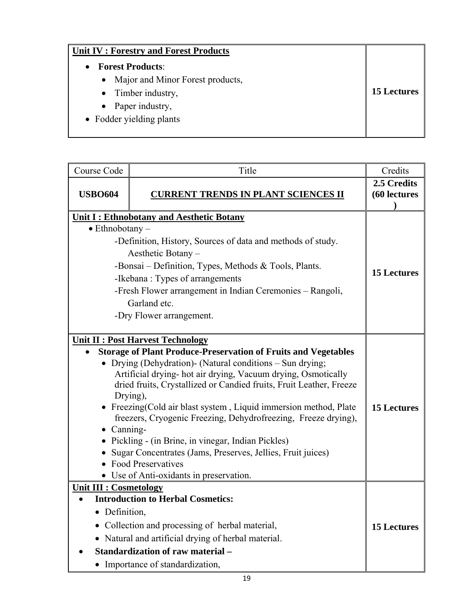## **Unit IV : Forestry and Forest Products**

- **Forest Products**:
	- Major and Minor Forest products,
	- Timber industry,
	- Paper industry,
- Fodder yielding plants

| Course Code                                  | Title                                                                                                                                                                                                                                                                                                                                                                                                                                                                                                                                                                                                                       | Credits                     |
|----------------------------------------------|-----------------------------------------------------------------------------------------------------------------------------------------------------------------------------------------------------------------------------------------------------------------------------------------------------------------------------------------------------------------------------------------------------------------------------------------------------------------------------------------------------------------------------------------------------------------------------------------------------------------------------|-----------------------------|
| <b>USBO604</b>                               | <b>CURRENT TRENDS IN PLANT SCIENCES II</b>                                                                                                                                                                                                                                                                                                                                                                                                                                                                                                                                                                                  | 2.5 Credits<br>(60 lectures |
|                                              | Unit I: Ethnobotany and Aesthetic Botany                                                                                                                                                                                                                                                                                                                                                                                                                                                                                                                                                                                    |                             |
| $\bullet$ Ethnobotany –                      |                                                                                                                                                                                                                                                                                                                                                                                                                                                                                                                                                                                                                             |                             |
|                                              | -Definition, History, Sources of data and methods of study.                                                                                                                                                                                                                                                                                                                                                                                                                                                                                                                                                                 |                             |
|                                              | Aesthetic Botany -                                                                                                                                                                                                                                                                                                                                                                                                                                                                                                                                                                                                          |                             |
|                                              | -Bonsai – Definition, Types, Methods & Tools, Plants.                                                                                                                                                                                                                                                                                                                                                                                                                                                                                                                                                                       | <b>15 Lectures</b>          |
|                                              | -Ikebana: Types of arrangements                                                                                                                                                                                                                                                                                                                                                                                                                                                                                                                                                                                             |                             |
|                                              | -Fresh Flower arrangement in Indian Ceremonies – Rangoli,                                                                                                                                                                                                                                                                                                                                                                                                                                                                                                                                                                   |                             |
|                                              | Garland etc.                                                                                                                                                                                                                                                                                                                                                                                                                                                                                                                                                                                                                |                             |
|                                              | -Dry Flower arrangement.                                                                                                                                                                                                                                                                                                                                                                                                                                                                                                                                                                                                    |                             |
|                                              | <b>Unit II : Post Harvest Technology</b>                                                                                                                                                                                                                                                                                                                                                                                                                                                                                                                                                                                    |                             |
| Canning-                                     | <b>Storage of Plant Produce-Preservation of Fruits and Vegetables</b><br>• Drying (Dehydration)- (Natural conditions $-$ Sun drying;<br>Artificial drying- hot air drying, Vacuum drying, Osmotically<br>dried fruits, Crystallized or Candied fruits, Fruit Leather, Freeze<br>Drying),<br>• Freezing (Cold air blast system, Liquid immersion method, Plate<br>freezers, Cryogenic Freezing, Dehydrofreezing, Freeze drying),<br>Pickling - (in Brine, in vinegar, Indian Pickles)<br>Sugar Concentrates (Jams, Preserves, Jellies, Fruit juices)<br><b>Food Preservatives</b><br>• Use of Anti-oxidants in preservation. | <b>15 Lectures</b>          |
| <b>Unit III : Cosmetology</b><br>Definition, | <b>Introduction to Herbal Cosmetics:</b><br>Collection and processing of herbal material,<br>Natural and artificial drying of herbal material.<br><b>Standardization of raw material -</b><br>• Importance of standardization,                                                                                                                                                                                                                                                                                                                                                                                              | <b>15 Lectures</b>          |

**15 Lectures**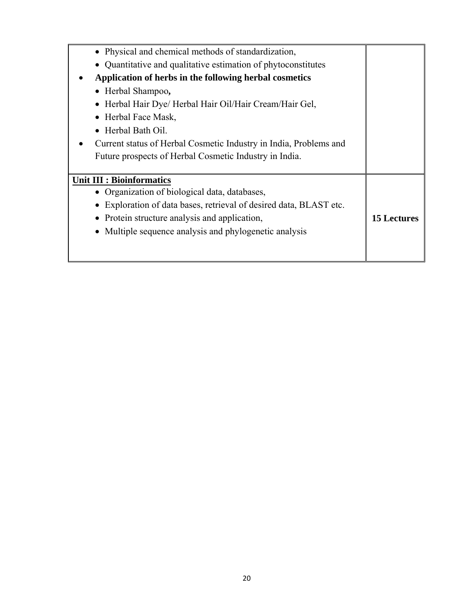| • Physical and chemical methods of standardization,               |                    |
|-------------------------------------------------------------------|--------------------|
| Quantitative and qualitative estimation of phytoconstitutes       |                    |
| Application of herbs in the following herbal cosmetics            |                    |
| • Herbal Shampoo,                                                 |                    |
| Herbal Hair Dye/ Herbal Hair Oil/Hair Cream/Hair Gel,             |                    |
| Herbal Face Mask,                                                 |                    |
| • Herbal Bath Oil.                                                |                    |
| Current status of Herbal Cosmetic Industry in India, Problems and |                    |
| Future prospects of Herbal Cosmetic Industry in India.            |                    |
|                                                                   |                    |
| <b>Unit III : Bioinformatics</b>                                  |                    |
| • Organization of biological data, databases,                     |                    |
| Exploration of data bases, retrieval of desired data, BLAST etc.  |                    |
| Protein structure analysis and application,                       | <b>15 Lectures</b> |
| Multiple sequence analysis and phylogenetic analysis              |                    |
|                                                                   |                    |
|                                                                   |                    |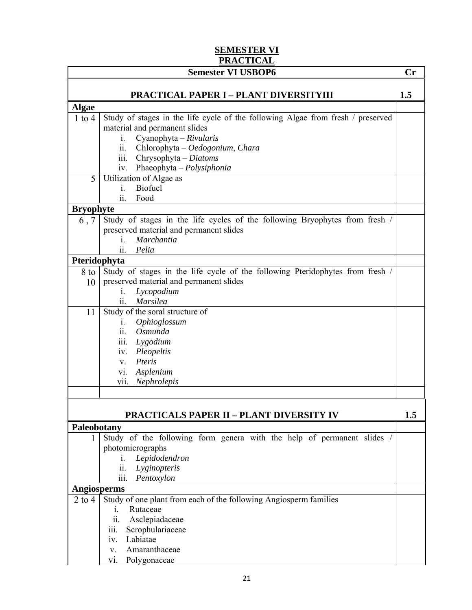#### **SEMESTER VI PRACTICAL**

|                    | <b>Semester VI USBOP6</b>                                                                                                                                                                              | $\mathbf{Cr}$ |
|--------------------|--------------------------------------------------------------------------------------------------------------------------------------------------------------------------------------------------------|---------------|
|                    | <b>PRACTICAL PAPER I - PLANT DIVERSITYIII</b>                                                                                                                                                          | 1.5           |
| <b>Algae</b>       |                                                                                                                                                                                                        |               |
| $1$ to $4$         | Study of stages in the life cycle of the following Algae from fresh / preserved<br>material and permanent slides<br>Cyanophyta - Rivularis<br>$\mathbf{i}$ .<br>ii.<br>Chlorophyta - Oedogonium, Chara |               |
|                    | $\overline{\text{iii}}$ .<br>$Chrysophyta-Diatoms$<br>Phaeophyta - Polysiphonia<br>iv.                                                                                                                 |               |
| 5                  | Utilization of Algae as                                                                                                                                                                                |               |
|                    | Biofuel<br>$\mathbf{i}$ .                                                                                                                                                                              |               |
|                    | Food<br>11.                                                                                                                                                                                            |               |
| <b>Bryophyte</b>   |                                                                                                                                                                                                        |               |
| 6, 7               | Study of stages in the life cycles of the following Bryophytes from fresh /<br>preserved material and permanent slides<br>Marchantia<br>i.                                                             |               |
|                    | $\ddot{\mathbf{i}}$<br>Pelia                                                                                                                                                                           |               |
| Pteridophyta       |                                                                                                                                                                                                        |               |
| $8$ to $ $         | Study of stages in the life cycle of the following Pteridophytes from fresh /                                                                                                                          |               |
| 10                 | preserved material and permanent slides<br>Lycopodium                                                                                                                                                  |               |
|                    | 1.<br>ii.<br><b>Marsilea</b>                                                                                                                                                                           |               |
| 11                 | Study of the soral structure of                                                                                                                                                                        |               |
|                    | Ophioglossum<br>1.                                                                                                                                                                                     |               |
|                    | $\ddot{\mathbf{i}}$<br>Osmunda                                                                                                                                                                         |               |
|                    | Lygodium<br>111.                                                                                                                                                                                       |               |
|                    | Pleopeltis<br>iv.                                                                                                                                                                                      |               |
|                    | Pteris<br>$V_{\cdot}$                                                                                                                                                                                  |               |
|                    | Asplenium<br>V1.                                                                                                                                                                                       |               |
|                    | vii. Nephrolepis                                                                                                                                                                                       |               |
|                    |                                                                                                                                                                                                        |               |
|                    | <b>PRACTICALS PAPER II - PLANT DIVERSITY IV</b>                                                                                                                                                        | 1.5           |
| Paleobotany        |                                                                                                                                                                                                        |               |
| 1                  | Study of the following form genera with the help of permanent slides /                                                                                                                                 |               |
|                    | photomicrographs                                                                                                                                                                                       |               |
|                    | Lepidodendron<br>$\mathbf{1}$ .                                                                                                                                                                        |               |
|                    | ii.<br>Lyginopteris                                                                                                                                                                                    |               |
|                    | Pentoxylon<br>111.                                                                                                                                                                                     |               |
| <b>Angiosperms</b> |                                                                                                                                                                                                        |               |
| $2$ to $4$         | Study of one plant from each of the following Angiosperm families                                                                                                                                      |               |
|                    | Rutaceae<br>$\mathbf{i}$ .                                                                                                                                                                             |               |
|                    | Asclepiadaceae<br>11.                                                                                                                                                                                  |               |
|                    | Scrophulariaceae<br>iii.                                                                                                                                                                               |               |
|                    | Labiatae<br>iv.                                                                                                                                                                                        |               |
|                    | Amaranthaceae<br>V.                                                                                                                                                                                    |               |
|                    | Polygonaceae<br>V1.                                                                                                                                                                                    |               |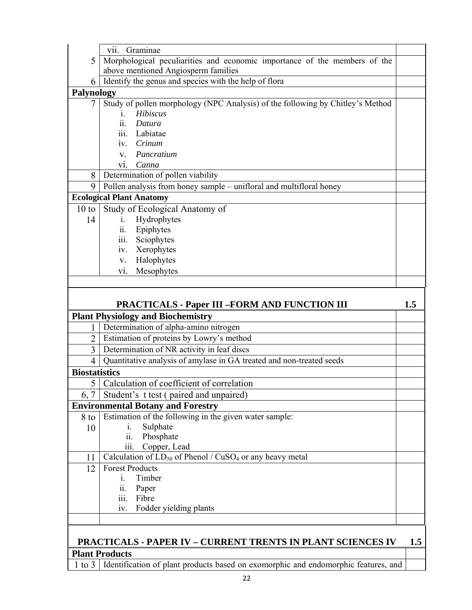|                      | vii.<br>Graminae                                                                                   |     |
|----------------------|----------------------------------------------------------------------------------------------------|-----|
| 5                    | Morphological peculiarities and economic importance of the members of the                          |     |
|                      | above mentioned Angiosperm families                                                                |     |
| 6                    | Identify the genus and species with the help of flora                                              |     |
| Palynology           |                                                                                                    |     |
| 7                    | Study of pollen morphology (NPC Analysis) of the following by Chitley's Method                     |     |
|                      | Hibiscus<br>$\mathbf{1}$ .                                                                         |     |
|                      | Datura<br>11.                                                                                      |     |
|                      | $\overline{\text{iii}}$ .<br>Labiatae                                                              |     |
|                      | Crinum<br>$\overline{1}V$ .                                                                        |     |
|                      | Pancratium<br>$V_{\rm{L}}$<br>Canna                                                                |     |
| 8                    | V1.<br>Determination of pollen viability                                                           |     |
| 9                    | Pollen analysis from honey sample - unifloral and multifloral honey                                |     |
|                      | <b>Ecological Plant Anatomy</b>                                                                    |     |
| 10 to                | Study of Ecological Anatomy of                                                                     |     |
| 14                   | Hydrophytes<br>$\dot{1}$ .                                                                         |     |
|                      | Epiphytes<br>11.                                                                                   |     |
|                      | iii.<br>Sciophytes                                                                                 |     |
|                      | Xerophytes<br>iv.                                                                                  |     |
|                      | Halophytes<br>V.                                                                                   |     |
|                      | Mesophytes<br>V1.                                                                                  |     |
|                      |                                                                                                    |     |
|                      |                                                                                                    |     |
|                      |                                                                                                    |     |
|                      | <b>PRACTICALS - Paper III -FORM AND FUNCTION III</b>                                               | 1.5 |
|                      |                                                                                                    |     |
| 1                    | <b>Plant Physiology and Biochemistry</b><br>Determination of alpha-amino nitrogen                  |     |
| $\overline{2}$       | Estimation of proteins by Lowry's method                                                           |     |
| 3                    | Determination of NR activity in leaf discs                                                         |     |
| 4                    |                                                                                                    |     |
| <b>Biostatistics</b> | Quantitative analysis of amylase in GA treated and non-treated seeds                               |     |
|                      | 5   Calculation of coefficient of correlation                                                      |     |
|                      |                                                                                                    |     |
| 6, 7                 | Student's t test (paired and unpaired)                                                             |     |
| 8 to                 | <b>Environmental Botany and Forestry</b><br>Estimation of the following in the given water sample: |     |
| 10                   | Sulphate<br>$\mathbf{i}$ .                                                                         |     |
|                      | Phosphate<br>$\overline{11}$ .                                                                     |     |
|                      | Copper, Lead<br>111.                                                                               |     |
| 11                   | Calculation of $LD_{50}$ of Phenol / $CuSO_4$ or any heavy metal                                   |     |
| 12                   | <b>Forest Products</b>                                                                             |     |
|                      | Timber<br>$\mathbf{1}$ .                                                                           |     |
|                      | ii.<br>Paper                                                                                       |     |
|                      | iii.<br>Fibre                                                                                      |     |
|                      | Fodder yielding plants<br>iv.                                                                      |     |
|                      |                                                                                                    |     |

# **PRACTICALS - PAPER IV – CURRENT TRENTS IN PLANT SCIENCES IV 1.5 Plant Products**<br>1 to 3 | Identific

Identification of plant products based on exomorphic and endomorphic features, and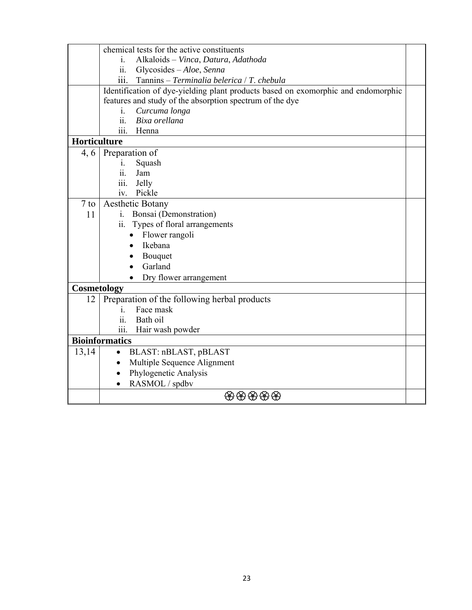|              | chemical tests for the active constituents                                        |  |  |
|--------------|-----------------------------------------------------------------------------------|--|--|
|              | Alkaloids - Vinca, Datura, Adathoda<br>$\mathbf{1}$ .                             |  |  |
|              | Glycosides - Aloe, Senna<br>$\overline{11}$ .                                     |  |  |
|              | Tannins - Terminalia belerica / T. chebula<br>111.                                |  |  |
|              | Identification of dye-yielding plant products based on exomorphic and endomorphic |  |  |
|              | features and study of the absorption spectrum of the dye                          |  |  |
|              | Curcuma longa<br>$\mathbf{i}$ .                                                   |  |  |
|              | ii.<br>Bixa orellana                                                              |  |  |
|              | $\overline{\text{iii}}$ .<br>Henna                                                |  |  |
| Horticulture |                                                                                   |  |  |
|              | 4, 6 Preparation of                                                               |  |  |
|              | Squash<br>1.                                                                      |  |  |
|              | ii.<br>Jam                                                                        |  |  |
|              | Jelly<br>111.                                                                     |  |  |
|              | Pickle<br>iv.                                                                     |  |  |
| $7$ to       | <b>Aesthetic Botany</b>                                                           |  |  |
| 11           | i. Bonsai (Demonstration)                                                         |  |  |
|              | ii. Types of floral arrangements                                                  |  |  |
|              | Flower rangoli<br>$\bullet$                                                       |  |  |
|              | Ikebana                                                                           |  |  |
|              | Bouquet                                                                           |  |  |
|              | Garland                                                                           |  |  |
|              | Dry flower arrangement                                                            |  |  |
| Cosmetology  |                                                                                   |  |  |
| 12           | Preparation of the following herbal products                                      |  |  |
|              | Face mask<br>$\mathbf{1}$                                                         |  |  |
|              | Bath oil<br>ii.                                                                   |  |  |
|              | iii.<br>Hair wash powder                                                          |  |  |
|              | <b>Bioinformatics</b>                                                             |  |  |
| 13,14        | BLAST: nBLAST, pBLAST<br>$\bullet$                                                |  |  |
|              | Multiple Sequence Alignment                                                       |  |  |
|              | Phylogenetic Analysis                                                             |  |  |
|              | RASMOL / spdbv                                                                    |  |  |
|              | 密密密密密                                                                             |  |  |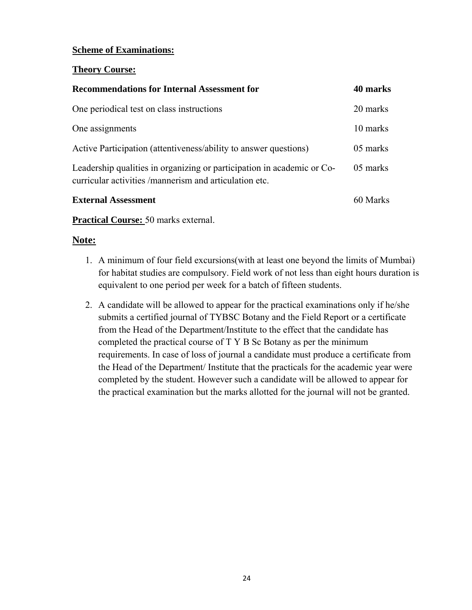#### **Scheme of Examinations:**

#### **Theory Course:**

| <b>Recommendations for Internal Assessment for</b>                                                                               | 40 marks |
|----------------------------------------------------------------------------------------------------------------------------------|----------|
| One periodical test on class instructions                                                                                        | 20 marks |
| One assignments                                                                                                                  | 10 marks |
| Active Participation (attentiveness/ability to answer questions)                                                                 | 05 marks |
| Leadership qualities in organizing or participation in academic or Co-<br>curricular activities /mannerism and articulation etc. | 05 marks |
| <b>External Assessment</b>                                                                                                       | 60 Marks |

**Practical Course:** 50 marks external.

#### **Note:**

- 1. A minimum of four field excursions(with at least one beyond the limits of Mumbai) for habitat studies are compulsory. Field work of not less than eight hours duration is equivalent to one period per week for a batch of fifteen students.
- 2. A candidate will be allowed to appear for the practical examinations only if he/she submits a certified journal of TYBSC Botany and the Field Report or a certificate from the Head of the Department/Institute to the effect that the candidate has completed the practical course of T Y B Sc Botany as per the minimum requirements. In case of loss of journal a candidate must produce a certificate from the Head of the Department/ Institute that the practicals for the academic year were completed by the student. However such a candidate will be allowed to appear for the practical examination but the marks allotted for the journal will not be granted.